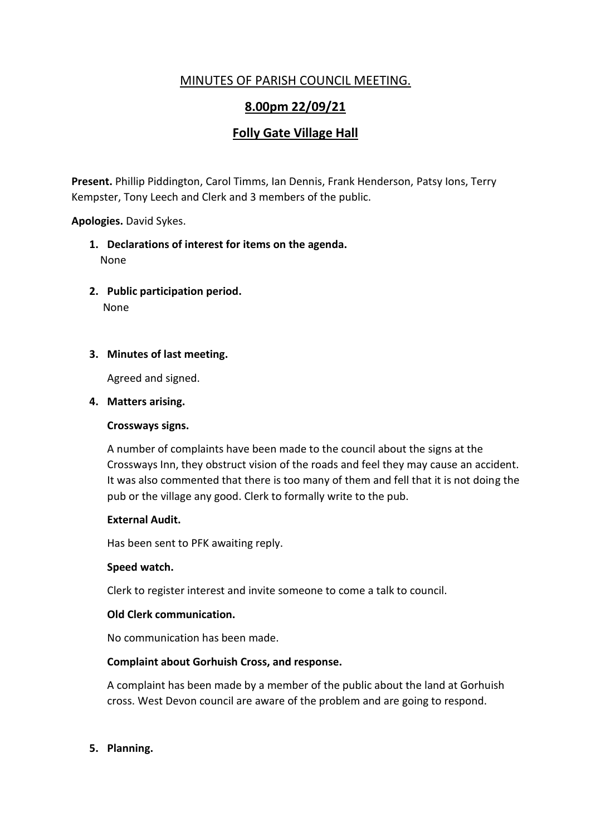# MINUTES OF PARISH COUNCIL MEETING.

# **8.00pm 22/09/21**

# **Folly Gate Village Hall**

**Present.** Phillip Piddington, Carol Timms, Ian Dennis, Frank Henderson, Patsy Ions, Terry Kempster, Tony Leech and Clerk and 3 members of the public.

## **Apologies.** David Sykes.

- **1. Declarations of interest for items on the agenda.** None
- **2. Public participation period.** None

## **3. Minutes of last meeting.**

Agreed and signed.

#### **4. Matters arising.**

#### **Crossways signs.**

A number of complaints have been made to the council about the signs at the Crossways Inn, they obstruct vision of the roads and feel they may cause an accident. It was also commented that there is too many of them and fell that it is not doing the pub or the village any good. Clerk to formally write to the pub.

#### **External Audit.**

Has been sent to PFK awaiting reply.

#### **Speed watch.**

Clerk to register interest and invite someone to come a talk to council.

#### **Old Clerk communication.**

No communication has been made.

#### **Complaint about Gorhuish Cross, and response.**

A complaint has been made by a member of the public about the land at Gorhuish cross. West Devon council are aware of the problem and are going to respond.

#### **5. Planning.**